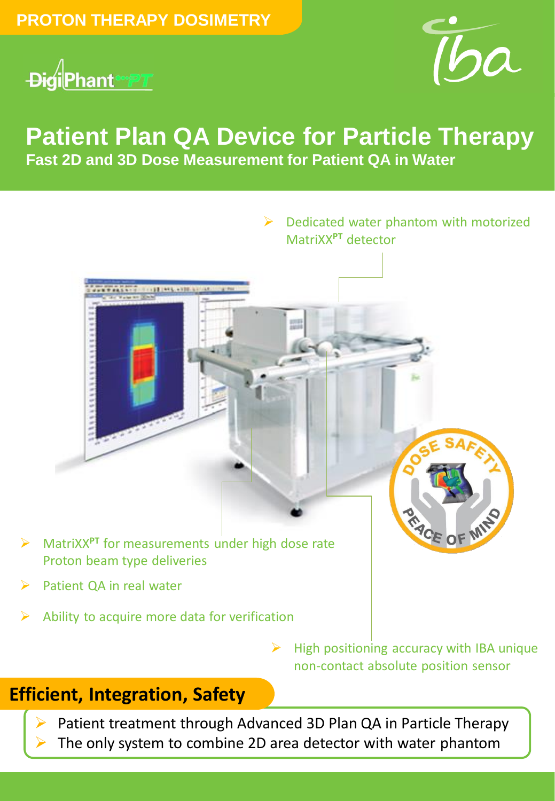



# **Patient Plan QA Device for Particle Therapy Fast 2D and 3D Dose Measurement for Patient QA in Water**



- MatriXX**PT** for measurements under high dose rate Proton beam type deliveries
- Patient QA in real water
- Ability to acquire more data for verification

 $\triangleright$  High positioning accuracy with IBA unique non-contact absolute position sensor

 $\triangleright$  Dedicated water phantom with motorized

MatriXX**PT** detector

### **Efficient, Integration, Safety**

 Patient treatment through Advanced 3D Plan QA in Particle Therapy The only system to combine 2D area detector with water phantom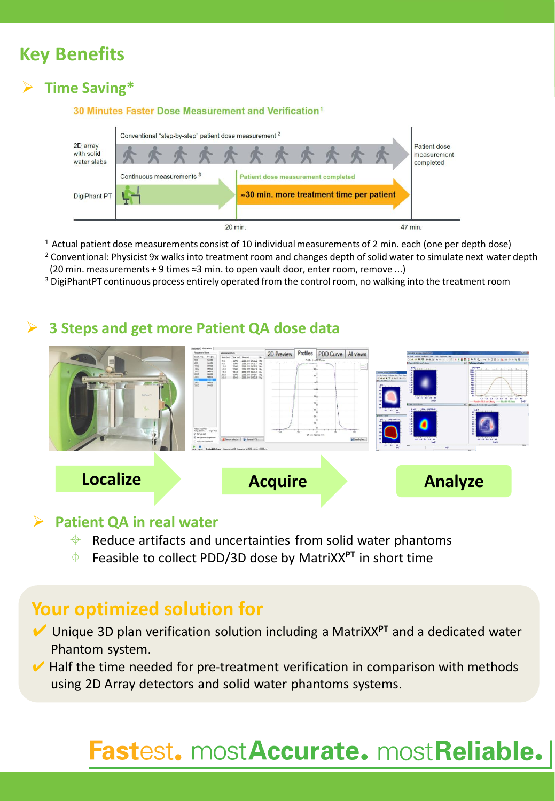## **Key Benefits**

### **Time Saving\***



 $1$  Actual patient dose measurements consist of 10 individual measurements of 2 min. each (one per depth dose)

<sup>2</sup> Conventional: Physicist 9x walks into treatment room and changes depth of solid water to simulate next water depth (20 min. measurements + 9 times ≈3 min. to open vault door, enter room, remove ...)

<sup>3</sup> DigiPhantPT continuous process entirely operated from the control room, no walking into the treatment room

#### **3 Steps and get more Patient QA dose data**



#### **Patient QA in real water**

- $\bigoplus$  Reduce artifacts and uncertainties from solid water phantoms
- Feasible to collect PDD/3D dose by MatriXX**PT** in short time

### **Your optimized solution for**

- ✔ Unique 3D plan verification solution including a MatriXX**PT** and a dedicated water Phantom system.
- $\vee$  Half the time needed for pre-treatment verification in comparison with methods using 2D Array detectors and solid water phantoms systems.

# Fastest. mostAccurate. mostReliable.